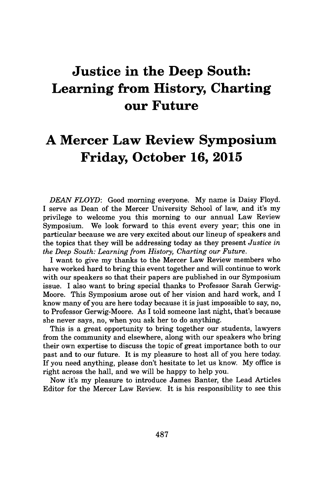## **Justice in the Deep South: Learning from History, Charting our Future**

## **A Mercer Law Review Symposium Friday, October 16, 2015**

*DEAN FLOYD:* Good morning everyone. **My** name is Daisy Floyd. I serve as Dean of the Mercer University School of law, and it's my privilege to welcome you this morning to our annual Law Review Symposium. We look forward to this event every year; this one in particular because we are very excited about our lineup of speakers and the topics that they will be addressing today as they present *Justice in the Deep South: Learning from History, Charting our Future.*

I want to give my thanks to the Mercer Law Review members who have worked hard to bring this event together and will continue to work with our speakers so that their papers are published in our Symposium issue. **I** also want to bring special thanks to Professor Sarah Gerwig-Moore. This Symposium arose out of her vision and hard work, and I know many of you are here today because it is just impossible to say, no, to Professor Gerwig-Moore. As I told someone last night, that's because she never says, no, when you ask her to do anything.

This is a great opportunity to bring together our students, lawyers from the community and elsewhere, along with our speakers who bring their own expertise to discuss the topic of great importance both to our past and to our future. It is my pleasure to host all of you here today. If you need anything, please don't hesitate to let us know. **My** office is right across the hall, and we will be happy to help you.

Now it's my pleasure to introduce James Banter, the Lead Articles Editor for the Mercer Law Review. It is his responsibility to see this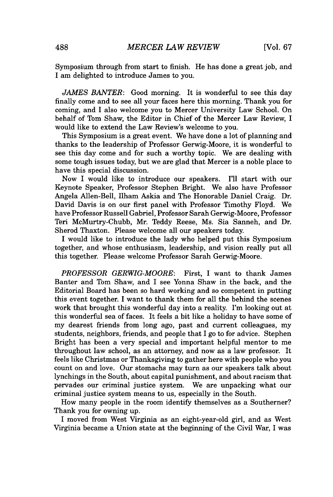Symposium through from start to finish. He has done a great **job,** and I am delighted to introduce James to you.

*JAMES BANTER:* Good morning. It is wonderful to see this day finally come and to see all your faces here this morning. Thank you for coming, and I also welcome you to Mercer University Law School. On behalf of Tom Shaw, the Editor in Chief of the Mercer Law Review, I would like to extend the Law Review's welcome to you.

This Symposium is a great event. We have done a lot of planning and thanks to the leadership of Professor Gerwig-Moore, it is wonderful to see this day come and for such a worthy topic. We are dealing with some tough issues today, but we are glad that Mercer is a noble place to have this special discussion.

Now I would like to introduce our speakers. I'll start with our Keynote Speaker, Professor Stephen Bright. We also have Professor Angela Allen-Bell, Ilham Askia and The Honorable Daniel Craig. Dr. David Davis is on our first panel with Professor Timothy Floyd. We have Professor Russell Gabriel, Professor Sarah Gerwig-Moore, Professor Teri McMurtry-Chubb, Mr. Teddy Reese, Ms. Sia Sanneh, and Dr. Sherod Thaxton. Please welcome all our speakers today.

I would like to introduce the lady who helped put this Symposium together, and whose enthusiasm, leadership, and vision really put all this together. Please welcome Professor Sarah Gerwig-Moore.

*PROFESSOR GERWIG-MOORE:* First, I want to thank James Banter and Tom Shaw, and I see Yonna Shaw in the back, and the Editorial Board has been so hard working and so competent in putting this event together. I want to thank them for all the behind the scenes work that brought this wonderful day into a reality. I'm looking out at this wonderful sea of faces. It feels a bit like a holiday to have some of my dearest friends from long ago, past and current colleagues, my students, neighbors, friends, and people that I go to for advice. Stephen Bright has been a very special and important helpful mentor to me throughout law school, as an attorney, and now as a law professor. It feels like Christmas or Thanksgiving to gather here with people who you count on and love. Our stomachs may turn as our speakers talk about lynchings in the South, about capital punishment, and about racism that pervades our criminal justice system. We are unpacking what our criminal justice system means to us, especially in the South.

How many people in the room identify themselves as a Southerner? Thank you for owning up.

**I** moved from West Virginia as an eight-year-old girl, and as West Virginia became a Union state at the beginning of the Civil War, I was